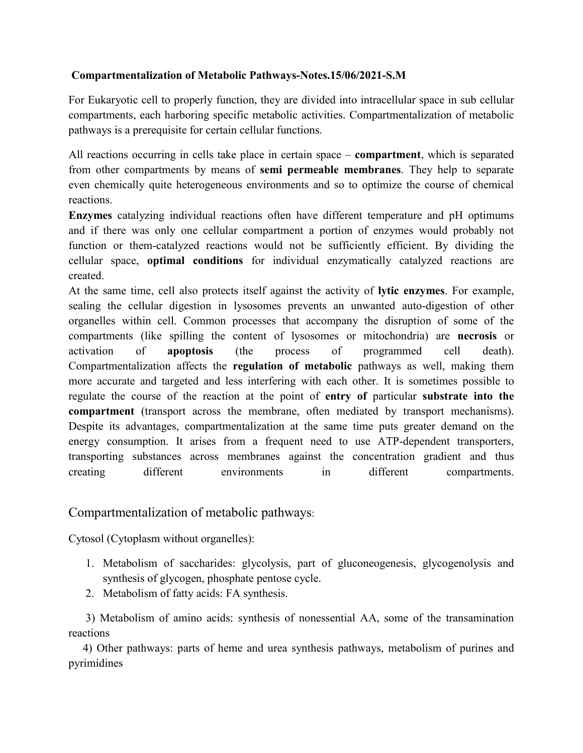## **Compartmentalization of Metabolic Pathways-Notes.15/06/2021-S.M**

For Eukaryotic cell to properly function, they are divided into intracellular space in sub cellular compartments, each harboring specific metabolic activities. Compartmentalization of metabolic pathways is a prerequisite for certain cellular functions.

All reactions occurring in cells take place in certain space – **compartment**, which is separated from other compartments by means of **semi permeable membranes**. They help to separate even chemically quite heterogeneous environments and so to optimize the course of chemical reactions.

**Enzymes** catalyzing individual reactions often have different temperature and pH optimums and if there was only one cellular compartment a portion of enzymes would probably not function or them-catalyzed reactions would not be sufficiently efficient. By dividing the cellular space, **optimal conditions** for individual enzymatically catalyzed reactions are created.

At the same time, cell also protects itself against the activity of **lytic enzymes**. For example, sealing the cellular digestion in lysosomes prevents an unwanted auto-digestion of other organelles within cell. Common processes that accompany the disruption of some of the compartments (like spilling the content of lysosomes or mitochondria) are **necrosis** or activation of **apoptosis** (the process of programmed cell death). Compartmentalization affects the **regulation of metabolic** pathways as well, making them more accurate and targeted and less interfering with each other. It is sometimes possible to regulate the course of the reaction at the point of **entry of** particular **substrate into the compartment** (transport across the membrane, often mediated by transport mechanisms). Despite its advantages, compartmentalization at the same time puts greater demand on the energy consumption. It arises from a frequent need to use ATP-dependent transporters, transporting substances across membranes against the concentration gradient and thus creating different environments in different compartments.

## Compartmentalization of metabolic pathways:

Cytosol (Cytoplasm without organelles):

- 1. Metabolism of saccharides: glycolysis, part of gluconeogenesis, glycogenolysis and synthesis of glycogen, phosphate pentose cycle.
- 2. Metabolism of fatty acids: FA synthesis.

 3) Metabolism of amino acids: synthesis of nonessential AA, some of the transamination reactions

 4) Other pathways: parts of heme and urea synthesis pathways, metabolism of purines and pyrimidines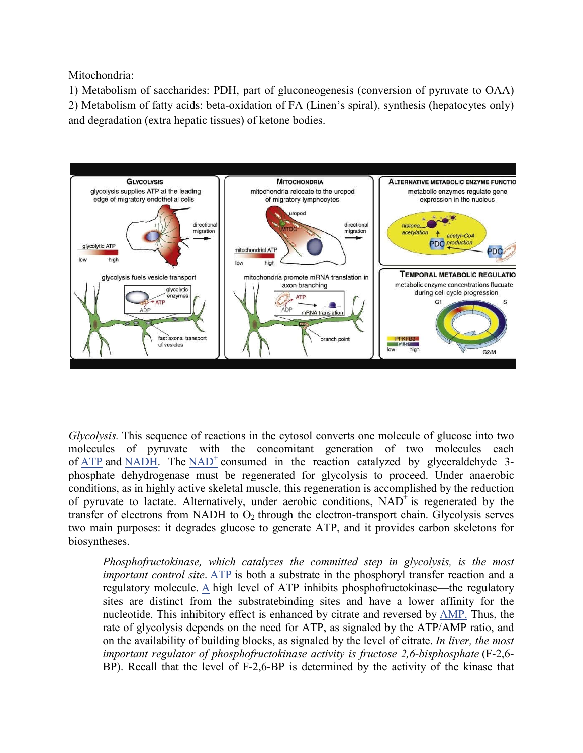Mitochondria:

1) Metabolism of saccharides: PDH, part of gluconeogenesis (conversion of pyruvate to OAA) 2) Metabolism of fatty acids: beta-oxidation of FA (Linen's spiral), synthesis (hepatocytes only) and degradation (extra hepatic tissues) of ketone bodies.



*Glycolysis.* This sequence of reactions in the cytosol converts one molecule of glucose into two molecules of pyruvate with the concomitant generation of two molecules each of ATP and NADH. The NAD<sup>+</sup> consumed in the reaction catalyzed by glyceraldehyde 3phosphate dehydrogenase must be regenerated for glycolysis to proceed. Under anaerobic conditions, as in highly active skeletal muscle, this regeneration is accomplished by the reduction of pyruvate to lactate. Alternatively, under aerobic conditions,  $NAD<sup>+</sup>$  is regenerated by the transfer of electrons from NADH to  $O_2$  through the electron-transport chain. Glycolysis serves two main purposes: it degrades glucose to generate ATP, and it provides carbon skeletons for biosyntheses.

*Phosphofructokinase, which catalyzes the committed step in glycolysis, is the most important control site*. ATP is both a substrate in the phosphoryl transfer reaction and a regulatory molecule. A high level of ATP inhibits phosphofructokinase—the regulatory sites are distinct from the substratebinding sites and have a lower affinity for the nucleotide. This inhibitory effect is enhanced by citrate and reversed by AMP. Thus, the rate of glycolysis depends on the need for ATP, as signaled by the ATP/AMP ratio, and on the availability of building blocks, as signaled by the level of citrate. *In liver, the most important regulator of phosphofructokinase activity is fructose 2,6-bisphosphate* (F-2,6- BP). Recall that the level of F-2,6-BP is determined by the activity of the kinase that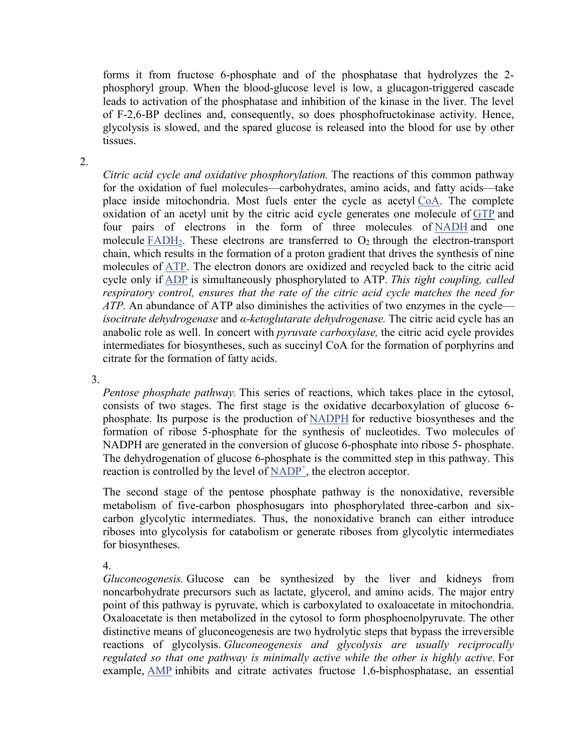forms it from fructose 6-phosphate and of the phosphatase that hydrolyzes the 2 phosphoryl group. When the blood-glucose level is low, a glucagon-triggered cascade leads to activation of the phosphatase and inhibition of the kinase in the liver. The level of F-2,6-BP declines and, consequently, so does phosphofructokinase activity. Hence, glycolysis is slowed, and the spared glucose is released into the blood for use by other tissues.

2.

*Citric acid cycle and oxidative phosphorylation.* The reactions of this common pathway for the oxidation of fuel molecules—carbohydrates, amino acids, and fatty acids—take place inside mitochondria. Most fuels enter the cycle as acetyl CoA. The complete oxidation of an acetyl unit by the citric acid cycle generates one molecule of GTP and four pairs of electrons in the form of three molecules of NADH and one molecule  $FADH<sub>2</sub>$ . These electrons are transferred to  $O<sub>2</sub>$  through the electron-transport chain, which results in the formation of a proton gradient that drives the synthesis of nine molecules of ATP. The electron donors are oxidized and recycled back to the citric acid cycle only if ADP is simultaneously phosphorylated to ATP. *This tight coupling, called respiratory control, ensures that the rate of the citric acid cycle matches the need for ATP.* An abundance of ATP also diminishes the activities of two enzymes in the cycle *isocitrate dehydrogenase* and *α-ketoglutarate dehydrogenase.* The citric acid cycle has an anabolic role as well. In concert with *pyruvate carboxylase,* the citric acid cycle provides intermediates for biosyntheses, such as succinyl CoA for the formation of porphyrins and citrate for the formation of fatty acids.

3.

*Pentose phosphate pathway.* This series of reactions, which takes place in the cytosol, consists of two stages. The first stage is the oxidative decarboxylation of glucose 6 phosphate. Its purpose is the production of NADPH for reductive biosyntheses and the formation of ribose 5-phosphate for the synthesis of nucleotides. Two molecules of NADPH are generated in the conversion of glucose 6-phosphate into ribose 5- phosphate. The dehydrogenation of glucose 6-phosphate is the committed step in this pathway. This reaction is controlled by the level of  $\text{NADP}^+$ , the electron acceptor.

The second stage of the pentose phosphate pathway is the nonoxidative, reversible metabolism of five-carbon phosphosugars into phosphorylated three-carbon and sixcarbon glycolytic intermediates. Thus, the nonoxidative branch can either introduce riboses into glycolysis for catabolism or generate riboses from glycolytic intermediates for biosyntheses.

4.

*Gluconeogenesis.* Glucose can be synthesized by the liver and kidneys from noncarbohydrate precursors such as lactate, glycerol, and amino acids. The major entry point of this pathway is pyruvate, which is carboxylated to oxaloacetate in mitochondria. Oxaloacetate is then metabolized in the cytosol to form phosphoenolpyruvate. The other distinctive means of gluconeogenesis are two hydrolytic steps that bypass the irreversible reactions of glycolysis. *Gluconeogenesis and glycolysis are usually reciprocally regulated so that one pathway is minimally active while the other is highly active.* For example, AMP inhibits and citrate activates fructose 1,6-bisphosphatase, an essential